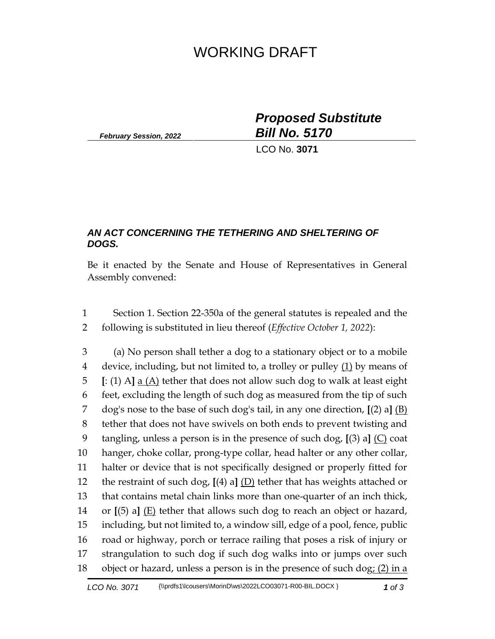## WORKING DRAFT

*February Session, 2022*

*Proposed Substitute Bill No. 5170*

LCO No. **3071**

## *AN ACT CONCERNING THE TETHERING AND SHELTERING OF DOGS.*

Be it enacted by the Senate and House of Representatives in General Assembly convened:

 Section 1. Section 22-350a of the general statutes is repealed and the following is substituted in lieu thereof (*Effective October 1, 2022*):

 (a) No person shall tether a dog to a stationary object or to a mobile device, including, but not limited to, a trolley or pulley (1) by means of **[**: (1) A**]** a (A) tether that does not allow such dog to walk at least eight feet, excluding the length of such dog as measured from the tip of such dog's nose to the base of such dog's tail, in any one direction, **[**(2) a**]** (B) tether that does not have swivels on both ends to prevent twisting and tangling, unless a person is in the presence of such dog, **[**(3) a**]** (C) coat hanger, choke collar, prong-type collar, head halter or any other collar, halter or device that is not specifically designed or properly fitted for the restraint of such dog, **[**(4) a**]** (D) tether that has weights attached or that contains metal chain links more than one-quarter of an inch thick, or **[**(5) a**]** (E) tether that allows such dog to reach an object or hazard, including, but not limited to, a window sill, edge of a pool, fence, public road or highway, porch or terrace railing that poses a risk of injury or strangulation to such dog if such dog walks into or jumps over such 18 object or hazard, unless a person is in the presence of such dog:  $(2)$  in a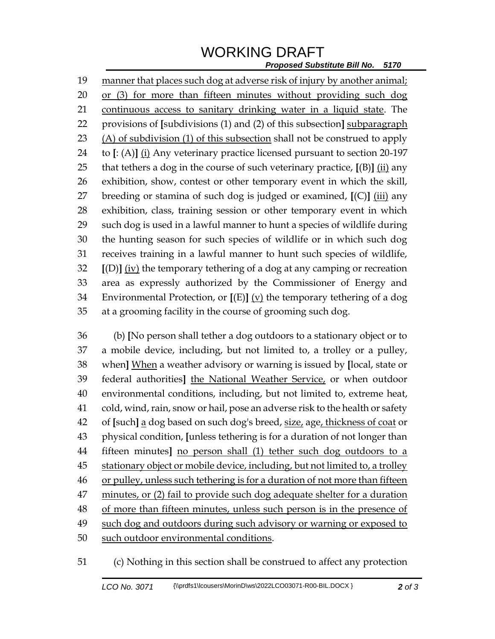## WORKING DRAFT

*Proposed Substitute Bill No. 5170*

 manner that places such dog at adverse risk of injury by another animal; or (3) for more than fifteen minutes without providing such dog continuous access to sanitary drinking water in a liquid state. The provisions of **[**subdivisions (1) and (2) of this subsection**]** subparagraph (A) of subdivision (1) of this subsection shall not be construed to apply to **[**: (A)**]** (i) Any veterinary practice licensed pursuant to section 20-197 that tethers a dog in the course of such veterinary practice, **[**(B)**]** (ii) any exhibition, show, contest or other temporary event in which the skill, breeding or stamina of such dog is judged or examined, **[**(C)**]** (iii) any exhibition, class, training session or other temporary event in which such dog is used in a lawful manner to hunt a species of wildlife during the hunting season for such species of wildlife or in which such dog receives training in a lawful manner to hunt such species of wildlife, **[**(D)**]** (iv) the temporary tethering of a dog at any camping or recreation area as expressly authorized by the Commissioner of Energy and Environmental Protection, or **[**(E)**]** (v) the temporary tethering of a dog at a grooming facility in the course of grooming such dog.

 (b) **[**No person shall tether a dog outdoors to a stationary object or to a mobile device, including, but not limited to, a trolley or a pulley, when**]** When a weather advisory or warning is issued by **[**local, state or federal authorities**]** the National Weather Service, or when outdoor environmental conditions, including, but not limited to, extreme heat, cold, wind, rain, snow or hail, pose an adverse risk to the health or safety of **[**such**]** a dog based on such dog's breed, size, age, thickness of coat or physical condition, **[**unless tethering is for a duration of not longer than fifteen minutes**]** no person shall (1) tether such dog outdoors to a stationary object or mobile device, including, but not limited to, a trolley 46 or pulley, unless such tethering is for a duration of not more than fifteen minutes, or (2) fail to provide such dog adequate shelter for a duration 48 of more than fifteen minutes, unless such person is in the presence of such dog and outdoors during such advisory or warning or exposed to such outdoor environmental conditions.

(c) Nothing in this section shall be construed to affect any protection